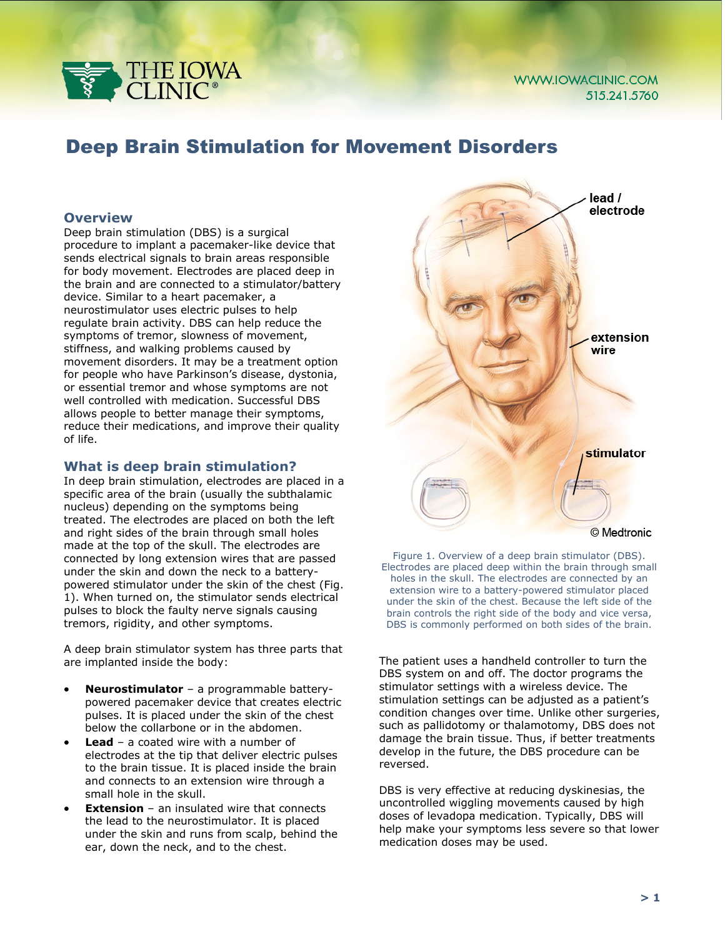

# Deep Brain Stimulation for Movement Disorders

#### **Overview**

Deep brain stimulation (DBS) is a surgical procedure to implant a pacemaker-like device that sends electrical signals to brain areas responsible for body movement. Electrodes are placed deep in the brain and are connected to a stimulator/battery device. Similar to a heart pacemaker, a neurostimulator uses electric pulses to help regulate brain activity. DBS can help reduce the symptoms of tremor, slowness of movement, stiffness, and walking problems caused by movement disorders. It may be a treatment option for people who have Parkinson's disease, dystonia, or essential tremor and whose symptoms are not well controlled with medication. Successful DBS allows people to better manage their symptoms, reduce their medications, and improve their quality of life.

#### **What is deep brain stimulation?**

In deep brain stimulation, electrodes are placed in a specific area of the brain (usually the subthalamic nucleus) depending on the symptoms being treated. The electrodes are placed on both the left and right sides of the brain through small holes made at the top of the skull. The electrodes are connected by long extension wires that are passed under the skin and down the neck to a batterypowered stimulator under the skin of the chest (Fig. 1). When turned on, the stimulator sends electrical pulses to block the faulty nerve signals causing tremors, rigidity, and other symptoms.

A deep brain stimulator system has three parts that are implanted inside the body:

- **Neurostimulator** a programmable batterypowered pacemaker device that creates electric pulses. It is placed under the skin of the chest below the collarbone or in the abdomen.
- **Lead** a coated wire with a number of electrodes at the tip that deliver electric pulses to the brain tissue. It is placed inside the brain and connects to an extension wire through a small hole in the skull.
- **Extension** an insulated wire that connects the lead to the neurostimulator. It is placed under the skin and runs from scalp, behind the ear, down the neck, and to the chest.



Figure 1. Overview of a deep brain stimulator (DBS). Electrodes are placed deep within the brain through small holes in the skull. The electrodes are connected by an extension wire to a battery-powered stimulator placed under the skin of the chest. Because the left side of the brain controls the right side of the body and vice versa, DBS is commonly performed on both sides of the brain.

The patient uses a handheld controller to turn the DBS system on and off. The doctor programs the stimulator settings with a wireless device. The stimulation settings can be adjusted as a patient's condition changes over time. Unlike other surgeries, such as pallidotomy or thalamotomy, DBS does not damage the brain tissue. Thus, if better treatments develop in the future, the DBS procedure can be reversed.

DBS is very effective at reducing dyskinesias, the uncontrolled wiggling movements caused by high doses of levadopa medication. Typically, DBS will help make your symptoms less severe so that lower medication doses may be used.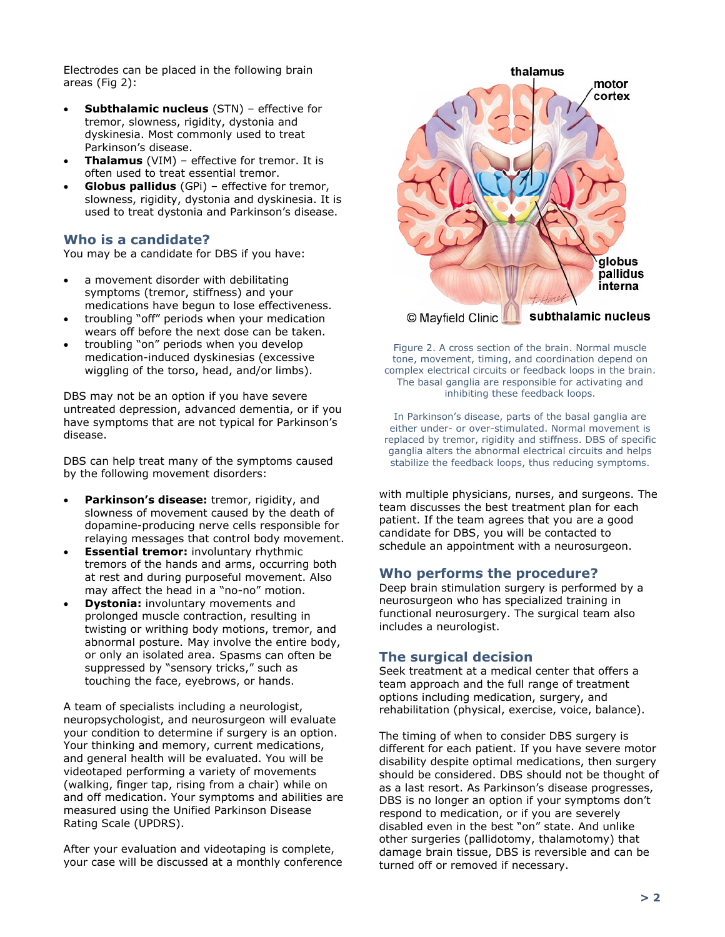Electrodes can be placed in the following brain areas (Fig 2):

- **Subthalamic nucleus** (STN) effective for tremor, slowness, rigidity, dystonia and dyskinesia. Most commonly used to treat Parkinson's disease.
- **Thalamus** (VIM) effective for tremor. It is often used to treat essential tremor.
- **Globus pallidus** (GPi) effective for tremor, slowness, rigidity, dystonia and dyskinesia. It is used to treat dystonia and Parkinson's disease.

# **Who is a candidate?**

You may be a candidate for DBS if you have:

- a movement disorder with debilitating symptoms (tremor, stiffness) and your medications have begun to lose effectiveness.
- troubling "off" periods when your medication wears off before the next dose can be taken.
- troubling "on" periods when you develop medication-induced dyskinesias (excessive wiggling of the torso, head, and/or limbs).

DBS may not be an option if you have severe untreated depression, advanced dementia, or if you have symptoms that are not typical for Parkinson's disease.

DBS can help treat many of the symptoms caused by the following movement disorders:

- **Parkinson's disease:** tremor, rigidity, and slowness of movement caused by the death of dopamine-producing nerve cells responsible for relaying messages that control body movement.
- **Essential tremor:** involuntary rhythmic tremors of the hands and arms, occurring both at rest and during purposeful movement. Also may affect the head in a "no-no" motion.
- **Dystonia:** involuntary movements and prolonged muscle contraction, resulting in twisting or writhing body motions, tremor, and abnormal posture. May involve the entire body, or only an isolated area. Spasms can often be suppressed by "sensory tricks," such as touching the face, eyebrows, or hands.

A team of specialists including a neurologist, neuropsychologist, and neurosurgeon will evaluate your condition to determine if surgery is an option. Your thinking and memory, current medications, and general health will be evaluated. You will be videotaped performing a variety of movements (walking, finger tap, rising from a chair) while on and off medication. Your symptoms and abilities are measured using the Unified Parkinson Disease Rating Scale (UPDRS).

After your evaluation and videotaping is complete, your case will be discussed at a monthly conference



Figure 2. A cross section of the brain. Normal muscle tone, movement, timing, and coordination depend on complex electrical circuits or feedback loops in the brain. The basal ganglia are responsible for activating and inhibiting these feedback loops.

In Parkinson's disease, parts of the basal ganglia are either under- or over-stimulated. Normal movement is replaced by tremor, rigidity and stiffness. DBS of specific ganglia alters the abnormal electrical circuits and helps stabilize the feedback loops, thus reducing symptoms.

with multiple physicians, nurses, and surgeons. The team discusses the best treatment plan for each patient. If the team agrees that you are a good candidate for DBS, you will be contacted to schedule an appointment with a neurosurgeon.

## **Who performs the procedure?**

Deep brain stimulation surgery is performed by a neurosurgeon who has specialized training in functional neurosurgery. The surgical team also includes a neurologist.

# **The surgical decision**

Seek treatment at a medical center that offers a team approach and the full range of treatment options including medication, surgery, and rehabilitation (physical, exercise, voice, balance).

The timing of when to consider DBS surgery is different for each patient. If you have severe motor disability despite optimal medications, then surgery should be considered. DBS should not be thought of as a last resort. As Parkinson's disease progresses, DBS is no longer an option if your symptoms don't respond to medication, or if you are severely disabled even in the best "on" state. And unlike other surgeries (pallidotomy, thalamotomy) that damage brain tissue, DBS is reversible and can be turned off or removed if necessary.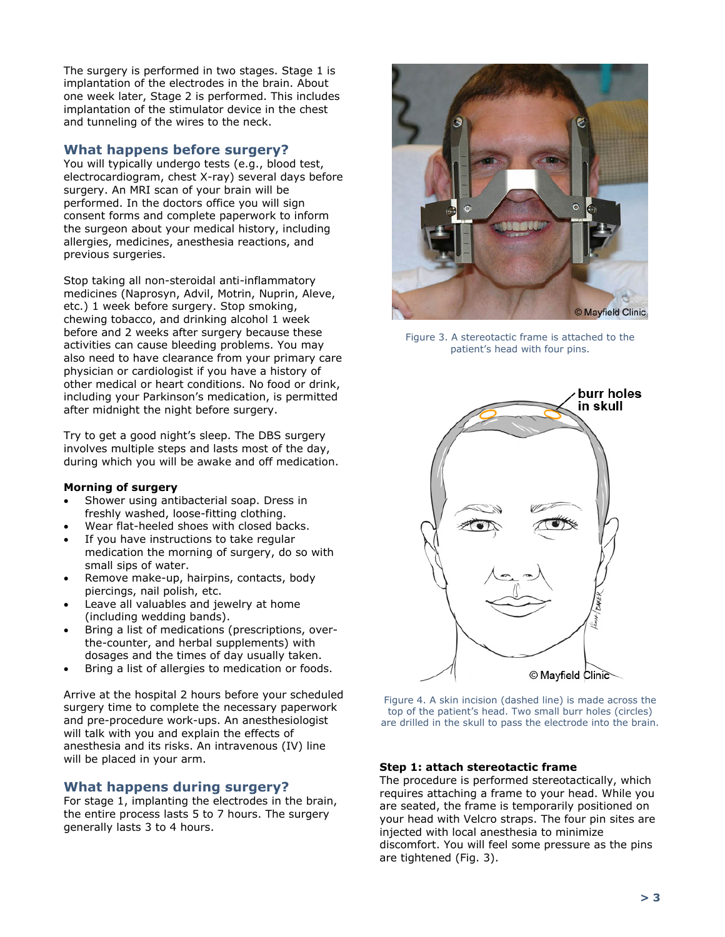The surgery is performed in two stages. Stage 1 is implantation of the electrodes in the brain. About one week later, Stage 2 is performed. This includes implantation of the stimulator device in the chest and tunneling of the wires to the neck.

# **What happens before surgery?**

You will typically undergo tests (e.g., blood test, electrocardiogram, chest X-ray) several days before surgery. An MRI scan of your brain will be performed. In the doctors office you will sign consent forms and complete paperwork to inform the surgeon about your medical history, including allergies, medicines, anesthesia reactions, and previous surgeries.

Stop taking all non-steroidal anti-inflammatory medicines (Naprosyn, Advil, Motrin, Nuprin, Aleve, etc.) 1 week before surgery. Stop smoking, chewing tobacco, and drinking alcohol 1 week before and 2 weeks after surgery because these activities can cause bleeding problems. You may also need to have clearance from your primary care physician or cardiologist if you have a history of other medical or heart conditions. No food or drink, including your Parkinson's medication, is permitted after midnight the night before surgery.

Try to get a good night's sleep. The DBS surgery involves multiple steps and lasts most of the day, during which you will be awake and off medication.

#### **Morning of surgery**

- Shower using antibacterial soap. Dress in freshly washed, loose-fitting clothing.
- Wear flat-heeled shoes with closed backs.
- If you have instructions to take regular medication the morning of surgery, do so with small sips of water.
- Remove make-up, hairpins, contacts, body piercings, nail polish, etc.
- Leave all valuables and jewelry at home (including wedding bands).
- Bring a list of medications (prescriptions, overthe-counter, and herbal supplements) with dosages and the times of day usually taken.
- Bring a list of allergies to medication or foods.

Arrive at the hospital 2 hours before your scheduled surgery time to complete the necessary paperwork and pre-procedure work-ups. An anesthesiologist will talk with you and explain the effects of anesthesia and its risks. An intravenous (IV) line will be placed in your arm.

## **What happens during surgery?**

For stage 1, implanting the electrodes in the brain, the entire process lasts 5 to 7 hours. The surgery generally lasts 3 to 4 hours.



Figure 3. A stereotactic frame is attached to the patient's head with four pins.



Figure 4. A skin incision (dashed line) is made across the top of the patient's head. Two small burr holes (circles) are drilled in the skull to pass the electrode into the brain.

#### **Step 1: attach stereotactic frame**

The procedure is performed stereotactically, which requires attaching a frame to your head. While you are seated, the frame is temporarily positioned on your head with Velcro straps. The four pin sites are injected with local anesthesia to minimize discomfort. You will feel some pressure as the pins are tightened (Fig. 3).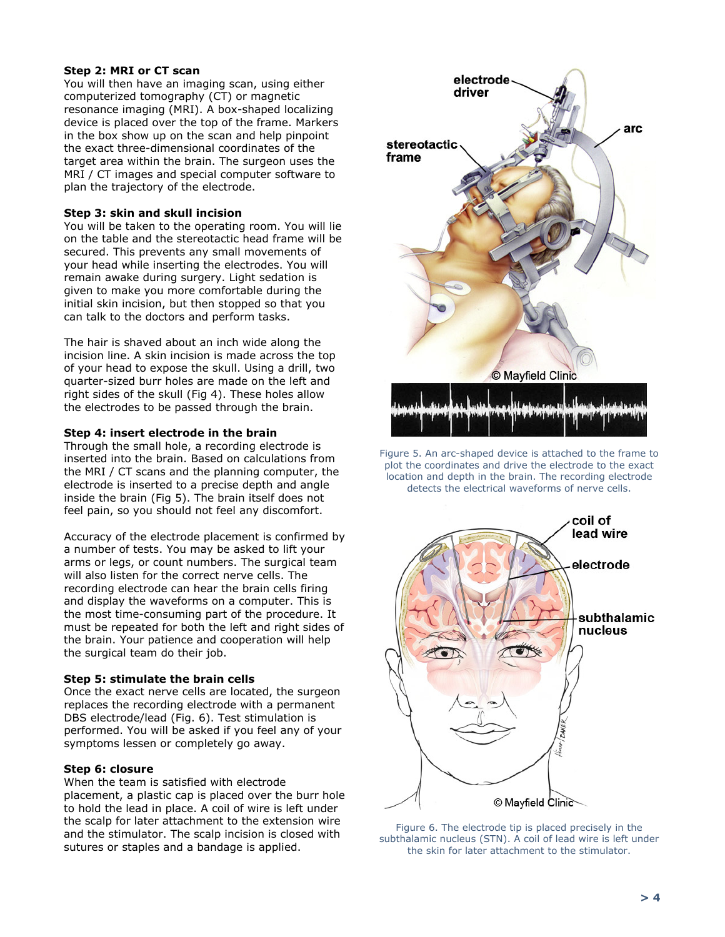#### **Step 2: MRI or CT scan**

You will then have an imaging scan, using either computerized tomography (CT) or magnetic resonance imaging (MRI). A box-shaped localizing device is placed over the top of the frame. Markers in the box show up on the scan and help pinpoint the exact three-dimensional coordinates of the target area within the brain. The surgeon uses the MRI / CT images and special computer software to plan the trajectory of the electrode.

#### **Step 3: skin and skull incision**

You will be taken to the operating room. You will lie on the table and the stereotactic head frame will be secured. This prevents any small movements of your head while inserting the electrodes. You will remain awake during surgery. Light sedation is given to make you more comfortable during the initial skin incision, but then stopped so that you can talk to the doctors and perform tasks.

The hair is shaved about an inch wide along the incision line. A skin incision is made across the top of your head to expose the skull. Using a drill, two quarter-sized burr holes are made on the left and right sides of the skull (Fig 4). These holes allow the electrodes to be passed through the brain.

#### **Step 4: insert electrode in the brain**

Through the small hole, a recording electrode is inserted into the brain. Based on calculations from the MRI / CT scans and the planning computer, the electrode is inserted to a precise depth and angle inside the brain (Fig 5). The brain itself does not feel pain, so you should not feel any discomfort.

Accuracy of the electrode placement is confirmed by a number of tests. You may be asked to lift your arms or legs, or count numbers. The surgical team will also listen for the correct nerve cells. The recording electrode can hear the brain cells firing and display the waveforms on a computer. This is the most time-consuming part of the procedure. It must be repeated for both the left and right sides of the brain. Your patience and cooperation will help the surgical team do their job.

#### **Step 5: stimulate the brain cells**

Once the exact nerve cells are located, the surgeon replaces the recording electrode with a permanent DBS electrode/lead (Fig. 6). Test stimulation is performed. You will be asked if you feel any of your symptoms lessen or completely go away.

#### **Step 6: closure**

When the team is satisfied with electrode placement, a plastic cap is placed over the burr hole to hold the lead in place. A coil of wire is left under the scalp for later attachment to the extension wire and the stimulator. The scalp incision is closed with sutures or staples and a bandage is applied.



Figure 5. An arc-shaped device is attached to the frame to plot the coordinates and drive the electrode to the exact location and depth in the brain. The recording electrode detects the electrical waveforms of nerve cells.



Figure 6. The electrode tip is placed precisely in the subthalamic nucleus (STN). A coil of lead wire is left under the skin for later attachment to the stimulator.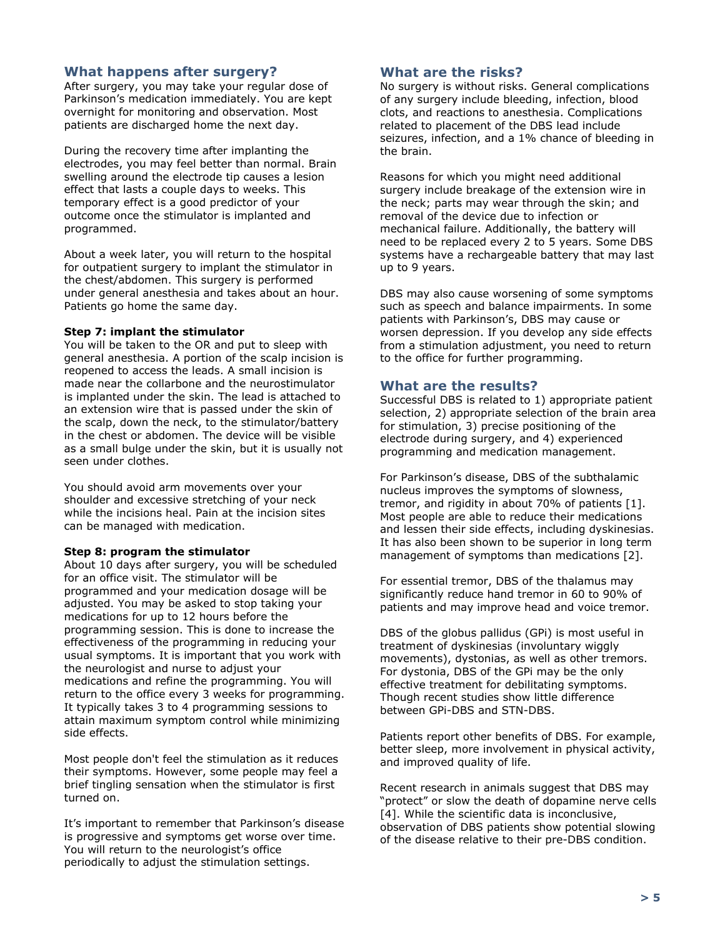# **What happens after surgery?**

After surgery, you may take your regular dose of Parkinson's medication immediately. You are kept overnight for monitoring and observation. Most patients are discharged home the next day.

During the recovery time after implanting the electrodes, you may feel better than normal. Brain swelling around the electrode tip causes a lesion effect that lasts a couple days to weeks. This temporary effect is a good predictor of your outcome once the stimulator is implanted and programmed.

About a week later, you will return to the hospital for outpatient surgery to implant the stimulator in the chest/abdomen. This surgery is performed under general anesthesia and takes about an hour. Patients go home the same day.

#### **Step 7: implant the stimulator**

You will be taken to the OR and put to sleep with general anesthesia. A portion of the scalp incision is reopened to access the leads. A small incision is made near the collarbone and the neurostimulator is implanted under the skin. The lead is attached to an extension wire that is passed under the skin of the scalp, down the neck, to the stimulator/battery in the chest or abdomen. The device will be visible as a small bulge under the skin, but it is usually not seen under clothes.

You should avoid arm movements over your shoulder and excessive stretching of your neck while the incisions heal. Pain at the incision sites can be managed with medication.

#### **Step 8: program the stimulator**

About 10 days after surgery, you will be scheduled for an office visit. The stimulator will be programmed and your medication dosage will be adjusted. You may be asked to stop taking your medications for up to 12 hours before the programming session. This is done to increase the effectiveness of the programming in reducing your usual symptoms. It is important that you work with the neurologist and nurse to adjust your medications and refine the programming. You will return to the office every 3 weeks for programming. It typically takes 3 to 4 programming sessions to attain maximum symptom control while minimizing side effects.

Most people don't feel the stimulation as it reduces their symptoms. However, some people may feel a brief tingling sensation when the stimulator is first turned on.

It's important to remember that Parkinson's disease is progressive and symptoms get worse over time. You will return to the neurologist's office periodically to adjust the stimulation settings.

#### **What are the risks?**

No surgery is without risks. General complications of any surgery include bleeding, infection, blood clots, and reactions to anesthesia. Complications related to placement of the DBS lead include seizures, infection, and a 1% chance of bleeding in the brain.

Reasons for which you might need additional surgery include breakage of the extension wire in the neck; parts may wear through the skin; and removal of the device due to infection or mechanical failure. Additionally, the battery will need to be replaced every 2 to 5 years. Some DBS systems have a rechargeable battery that may last up to 9 years.

DBS may also cause worsening of some symptoms such as speech and balance impairments. In some patients with Parkinson's, DBS may cause or worsen depression. If you develop any side effects from a stimulation adjustment, you need to return to the office for further programming.

### **What are the results?**

Successful DBS is related to 1) appropriate patient selection, 2) appropriate selection of the brain area for stimulation, 3) precise positioning of the electrode during surgery, and 4) experienced programming and medication management.

For Parkinson's disease, DBS of the subthalamic nucleus improves the symptoms of slowness, tremor, and rigidity in about 70% of patients [1]. Most people are able to reduce their medications and lessen their side effects, including dyskinesias. It has also been shown to be superior in long term management of symptoms than medications [2].

For essential tremor, DBS of the thalamus may significantly reduce hand tremor in 60 to 90% of patients and may improve head and voice tremor.

DBS of the globus pallidus (GPi) is most useful in treatment of dyskinesias (involuntary wiggly movements), dystonias, as well as other tremors. For dystonia, DBS of the GPi may be the only effective treatment for debilitating symptoms. Though recent studies show little difference between GPi-DBS and STN-DBS.

Patients report other benefits of DBS. For example, better sleep, more involvement in physical activity, and improved quality of life.

Recent research in animals suggest that DBS may "protect" or slow the death of dopamine nerve cells [4]. While the scientific data is inconclusive, observation of DBS patients show potential slowing of the disease relative to their pre-DBS condition.